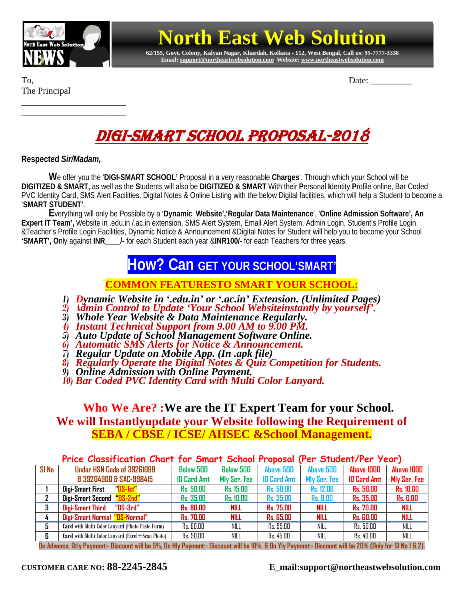

\_\_\_\_\_\_\_\_\_\_\_\_\_\_\_\_\_\_\_\_\_\_\_ \_\_\_\_\_\_\_\_\_\_\_\_\_\_\_\_\_\_\_\_\_\_\_

# **North East Web Solution**

**62/155, Govt. Colony, Kalyan Nagar, Khardah, Kolkata - 112, West Bengal, Call us: 95-7777-3338 Email[: support@northeastwebsolution.com,](mailto:support@northeastwebsolution.com) Website: www.northeastwebsolution.com**

The Principal

To, Date: \_\_\_\_\_\_\_\_\_

# DIGI-SMART SCHOOL PROPOSAL-2018

**Respected** *Sir/Madam,*

**W**e offer you the '**DIGI-SMART SCHOOL'** Proposal in a very reasonable **Charges**'. Through which your School will be **DIGITIZED & SMART,** as well as the **S**tudents will also be **DIGITIZED & SMART** With their **P**ersonal **I**dentity **P**rofile online, Bar Coded PVC Identity Card, SMS Alert Facilities, Digital Notes & Online Listing with the below Digital facilities, which will help a Student to become a '**SMART STUDENT'**.

**E**verything will only be Possible by a '**Dynamic Website','Regular Data Maintenance**', '**Online Admission Software', An Expert IT Team',** Website in .edu.in /.ac.in extension, SMS Alert System, Email Alert System, Admin Login, Student's Profile Login &Teacher's Profile Login Facilities, Dynamic Notice & Announcement &Digital Notes for Student will help you to become your School **'SMART', O**nly against **INR\_\_\_\_/-** for each Student each year &**INR100/-** for each Teachers for three years.

## **How? Can GET YOUR SCHOOL'SMART'**

**COMMON FEATURESTO SMART YOUR SCHOOL:**

- *1) Dynamic Website in '.edu.in' or '.ac.in' Extension. (Unlimited Pages)*
- *2) <sup>A</sup>dmin Control to Update 'Your School Websiteinstantly by yourself'. 3) Whole Year Website & Data Maintenance Regularly.*
- 
- *4) Instant Technical Support from 9.00 AM to 9.00 PM.*
- *5) Auto Update of School Management Software Online. 6) Automatic SMS Alerts for Notice & Announcement.*
- 
- *7) Regular Update on Mobile App. (In .apk file)*
- *8) Regularly Operate the Digital Notes & Quiz Competition for Students. 9) Online Admission with Online Payment. 10) Bar Coded PVC Identity Card with Multi Color Lanyard.*
- 

### **Who We Are? :We are the IT Expert Team for your School. We will Instantlyupdate your Website following the Requirement of SEBA / CBSE / ICSE/ AHSEC &School Management.**

#### **Price Classification Chart for Smart School Proposal (Per Student/Per Year)**

| $SI$ No | Under HSN Code of 39261099                              | <b>Below 500</b>   | <b>Below 500</b> | <b>Above 500</b>   | <b>Above 500</b> | Above 1000         | Above 1000          |
|---------|---------------------------------------------------------|--------------------|------------------|--------------------|------------------|--------------------|---------------------|
|         | & 39204900 & SAC-998415                                 | <b>ID Card Amt</b> | Mly Ser. Fee     | <b>ID Card Amt</b> | Mly Ser. Fee     | <b>ID Card Amt</b> | <b>Mly Ser. Fee</b> |
|         | DS-1st"<br>Digi-Smart First                             | <b>Rs. 50.00</b>   | <b>Rs. 15.00</b> | <b>Rs. 50.00</b>   | <b>Rs. 12.00</b> | Rs. 50.00          | <b>Rs. 10.00</b>    |
|         | Digi-Smart Second "DS-2nd"                              | Rs. 35.00          | <b>Rs. 10.00</b> | <b>Rs. 35.00</b>   | <b>Rs. 8.00</b>  | <b>Rs. 35.00</b>   | <b>Rs. 6.00</b>     |
| 3       | Digi-Smart Third<br>"DS-3rd"                            | <b>Rs. 80.00</b>   | <b>NILL</b>      | <b>Rs. 75.00</b>   | <b>NILL</b>      | <b>Rs. 70.00</b>   | <b>NILL</b>         |
|         | Digi-Smart Normal "DS-Normal"                           | <b>Rs. 70.00</b>   | <b>NILL</b>      | <b>Rs. 65.00</b>   | <b>NILL</b>      | <b>Rs. 60.00</b>   | <b>NILL</b>         |
|         | <b>Card</b> with Multi Color Lanyard (Photo Paste Form) | Rs. 60.00          | NILL             | Rs. 55.00          | NILL             | Rs. 50.00          | NILL                |
| 6       | Card with Multi Color Lanyard (Excel+Scan Photo)        | Rs. 50.00          | NILL             | Rs. 45.00          | NILL             | Rs. 40.00          | NILL                |

**On Advance, Qtly Payment:- Discount will be 5%, On Hly Payment:- Discount will be 10%, & On Yly Payment:- Discount will be 20% (Only for Sl No 1 & 2).**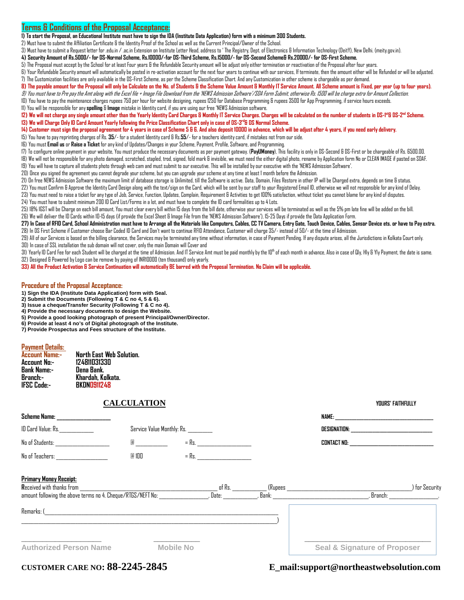#### **Terms & Conditions of the Proposal Acceptance:**

**1) To start the Proposal, an Educational Institute must have to sign the IDA (Institute Data Application) form with a minimum 300 Students.**

2) Must have to submit the Affiliation Certificate & the Identity Proof of the Schoolas well as the Current Principal/Owner of the School.

3) Must have to submit a Request letter for .edu.in / .ac.in Extension on Institute Letter Head,address to ' The Registry, Dept. of Electronics & Information Technology (DeitY), New Delhi. (meity.gov.in).

**4) Security Amount of Rs.5000/- for DS-Normal Scheme, Rs.10000/-for DS-Third Scheme, Rs.15000/- for DS-Second Scheme& Rs.20000/- for DS-First Scheme.**

5) The Proposal must accept by the School for at least Four years & the Refundable Security amount will be adjust only either termination or reactivation of the Proposal after four years.

6) Your Refundable Security amount will automatically be posted in re-activation account for the next four years to continue with our services, If terminate, then the amount either will be Refunded or will be adjusted. 7) The Customization facilities are only available in the DS-First Scheme, as per the Scheme Classification Chart. And any Customization in other scheme is chargeable as per demand.

#### 8) The payable amount for the Proposal will only be Calculate on the No. of Students & the Scheme Value Amount & Monthly IT Service Amount. All Scheme amount is Fixed, per year (up to four years).

9) You must have to Pre pay the Amtalong with the Excel file + Image File Download from the 'NEWS Admission Software'/SDA Form Submit, otherwise Rs. 1500 will be charge extra for Amount Collection. 10) You have to pay the maintenance charges rupees 750 per hour for website designing, rupees 1250 for Database Programming & rupees 3500 for App Programming, if service hours exceeds.

11) You will be responsible for any **spelling** & **Image** mistake in Identity card, if you are using our free 'NEWS Admission software.

#### 12) We will not charge any single amount other than the Yearly Identity Card Charges & Monthly IT Service Charges. Charges will be calculated on the number of students in DS-1\*1& DS-2<sup>nd</sup> Scheme. **13) We will Charge Only ID Card Amount Yearly following the Price Classification Chart only in case of DS-3rd& DS Normal Scheme.**

**14) Customer must sign the proposal agreement for 4 years in case of Scheme 5 & 6. And also deposit 10000 in advance, which will be adjust after 4 years, if you need early delivery.**

15) You have to pay reprinting charges of Rs. **35**/- for a student Identity card & Rs.**55**/- for a teachers identity card, if mistakes not from our side.

16) You must **Email us** or **Raise a Ticket** for any kind of Updates/Changes in your Scheme, Payment, Profile, Software, and Programming.

17) To configure online payment in your website,You must produce the necessary documents as per payment gateway. (**PayUMoney**), This facility is only in DS-Second & DS-Firstor be chargeable of Rs. 6500.00. 18) We will not be responsible for any photo damaged, scratched, stapled, trod, signed, fold mark & invisible, we must need the either digital photo, rename by Application form No or CLEAN IMAGE if pasted on SDAF.

19) You will have to capture all students photo through web cam and must submit to our executive. This will be installed by our executive with the 'NEWS Admission Software'.

20) Once you signed the agreement you cannot degrade your scheme, but you can upgrade your scheme at any time at least 1 month before the Admission.

21) On free NEWS Admission Software the maximum limit of database storage is Unlimited, till the Software is active. Data, Domain, Files Restore in other IP will be Charged extra, depends on time & status.

22) You must Confirm & Approve the Identity Card Design along with the text/sign on the Card, which will be sent by our staff to your Registered Email ID, otherwise we will not responsible for any kind of Delay. 23) You must need to raise a ticket for any type of Job, Service, Function, Updates, Complain, Requirement & Activities to get 100% satisfaction, without ticket you cannot blame for any kind of disputes.

24) You must have to submit minimum 200 ID Card List/Forms in a lot, and must have to complete the ID card formalities up to 4 Lots.

25) 18% IGST will be Charge on each bill amount,You must clear every bill within 15 days from the bill date, otherwise your services will be terminated as well as the 5% pm late fine will be added on the bill. 26) We will deliver the ID Cards within 10-15 days (if provide the Excel Sheet & Image File from the 'NEWS Admission Software'), 15-25 Days if provide the Data Application Form.

27) In Case of RFID Card, School Administration must have to Arrange all the Materials like Computers, Cables, CC TV Camera, Entry Gate, Touch Device, Cables, Sensor Device ets. or have to Pay extra. 28) In DS First Scheme if Customer choose Bar Coded ID Card and Don't want to continue RFID Attendance, Customer will charge 35/- instead of 50/- at the time of Admission.

29) All of our Services is based on the billing clearance, the Services may be terminated any time without information, in case of Payment Pending. If any dispute arises, all the Jurisdictions in Kolkata Court only. 30) In case of SSL installation the sub domain will not cover, only the main Domain will Cover and

 $30$  Yearly ID Card Fee for each Student will be charged at the time of Admission. And IT Service Amt must be paid monthly by the  $10^{\rm h}$  of each month in advance. Also in case of Qly, Hly & Yly Payment, the date is sam 32) Designed & Powered by Logo can be remove by paying of INR10000 (ten thousand) only yearly.

**33) All the Product Activation & Service Continuation will automatically BE barred with the Proposal Termination. No Claim will be applicable.**

#### **Procedure of the Proposal Acceptance:**

**1) Sign the IDA (Institute Data Application) form with Seal.**

**2) Submit the Documents (Following T & C no 4, 5 & 6).**

**3) Issue a cheque/Transfer Security (Following T & C no 4).**

**4) Provide the necessary documents to design the Website.**

**5) Provide a good looking photograph of present Principal/Owner/Director. 6) Provide at least 4 no's of Digital photograph of the Institute.**

**7) Provide Prospectus and Fees structure of the Institute.**

#### **Payment Details:**

| North East Web Solution. |
|--------------------------|
| 124811031330             |
| Dena Bank.               |
| Khardah, Kolkata.        |
| <b>BKDN0911248</b>       |
|                          |

#### **CALCULATION YOURS' FAITHFULLY**

| VNIIDR' EAITHEIII I V |
|-----------------------|

| Scheme Name: <b>Scheme</b> Name:                                                                                                               |       |                  |                                        |                             |                                                                                                                                                                                                                                     |                                   |  |
|------------------------------------------------------------------------------------------------------------------------------------------------|-------|------------------|----------------------------------------|-----------------------------|-------------------------------------------------------------------------------------------------------------------------------------------------------------------------------------------------------------------------------------|-----------------------------------|--|
| ID Card Value: Rs.<br>Service Value Monthly: Rs.                                                                                               |       |                  |                                        |                             | <b>DESIGNATION:</b> the contract of the contract of the contract of the contract of the contract of the contract of the contract of the contract of the contract of the contract of the contract of the contract of the contract of |                                   |  |
|                                                                                                                                                |       |                  | $=Rs$ .                                |                             |                                                                                                                                                                                                                                     |                                   |  |
| No of Teachers:                                                                                                                                | @ 100 |                  | $=$ Rs.                                |                             |                                                                                                                                                                                                                                     |                                   |  |
| Primary Money Receipt:<br><b>Received with thanks from</b><br>amount following the above terms no 4. Cheque/RTGS/NEFT No: ____________________ |       |                  | of Rs. In the set of R<br>. Date: ____ | . Bank: ___________________ | , Branch:                                                                                                                                                                                                                           | for Security<br><b>Contractor</b> |  |
| Remarks: (                                                                                                                                     |       |                  |                                        |                             |                                                                                                                                                                                                                                     |                                   |  |
|                                                                                                                                                |       |                  |                                        |                             |                                                                                                                                                                                                                                     |                                   |  |
| <b>Authorized Person Name</b>                                                                                                                  |       | <b>Mobile No</b> |                                        |                             | <b>Seal &amp; Signature of Proposer</b>                                                                                                                                                                                             |                                   |  |

### **CUSTOMER CARE NO: 88-2245-2845 E\_mail:support@northeastwebsolution.com**